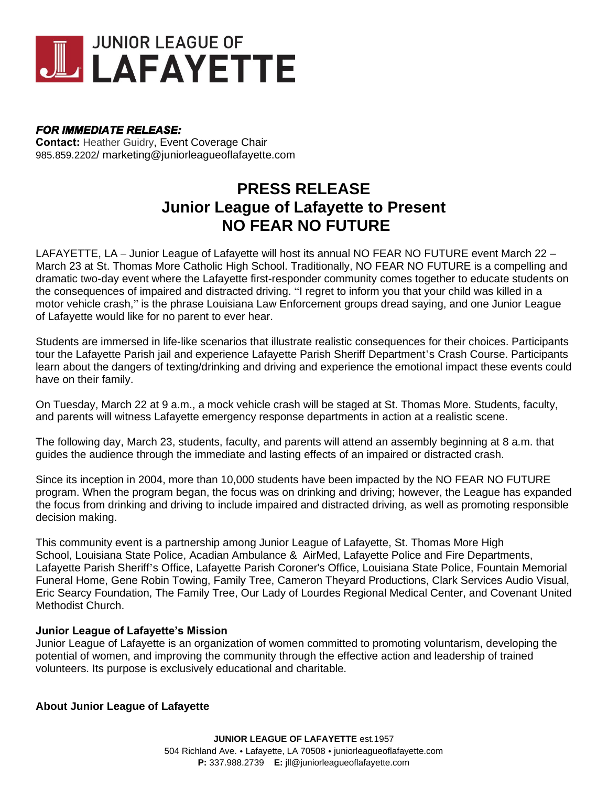

## *FOR IMMEDIATE RELEASE:*

**Contact:** Heather Guidry, Event Coverage Chair 985.859.2202/ marketing@juniorleagueoflafayette.com

## **PRESS RELEASE Junior League of Lafayette to Present NO FEAR NO FUTURE**

LAFAYETTE, LA – Junior League of Lafayette will host its annual NO FEAR NO FUTURE event March 22 – March 23 at St. Thomas More Catholic High School. Traditionally, NO FEAR NO FUTURE is a compelling and dramatic two-day event where the Lafayette first-responder community comes together to educate students on the consequences of impaired and distracted driving. "I regret to inform you that your child was killed in a motor vehicle crash," is the phrase Louisiana Law Enforcement groups dread saying, and one Junior League of Lafayette would like for no parent to ever hear.

Students are immersed in life-like scenarios that illustrate realistic consequences for their choices. Participants tour the Lafayette Parish jail and experience Lafayette Parish Sheriff Department's Crash Course. Participants learn about the dangers of texting/drinking and driving and experience the emotional impact these events could have on their family.

On Tuesday, March 22 at 9 a.m., a mock vehicle crash will be staged at St. Thomas More. Students, faculty, and parents will witness Lafayette emergency response departments in action at a realistic scene.

The following day, March 23, students, faculty, and parents will attend an assembly beginning at 8 a.m. that guides the audience through the immediate and lasting effects of an impaired or distracted crash.

Since its inception in 2004, more than 10,000 students have been impacted by the NO FEAR NO FUTURE program. When the program began, the focus was on drinking and driving; however, the League has expanded the focus from drinking and driving to include impaired and distracted driving, as well as promoting responsible decision making.

This community event is a partnership among Junior League of Lafayette, St. Thomas More High School, Louisiana State Police, Acadian Ambulance & AirMed, Lafayette Police and Fire Departments, Lafayette Parish Sheriff's Office, Lafayette Parish Coroner's Office, Louisiana State Police, Fountain Memorial Funeral Home, Gene Robin Towing, Family Tree, Cameron Theyard Productions, Clark Services Audio Visual, Eric Searcy Foundation, The Family Tree, Our Lady of Lourdes Regional Medical Center, and Covenant United Methodist Church.

## **Junior League of Lafayette's Mission**

Junior League of Lafayette is an organization of women committed to promoting voluntarism, developing the potential of women, and improving the community through the effective action and leadership of trained volunteers. Its purpose is exclusively educational and charitable.

## **About Junior League of Lafayette**